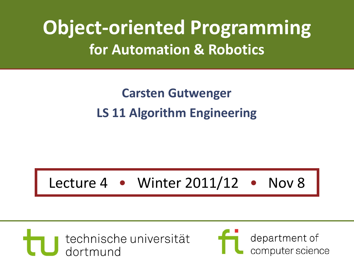# **Object-oriented Programming for Automation & Robotics**

#### **Carsten Gutwenger LS 11 Algorithm Engineering**

#### Lecture 4 • Winter 2011/12 • Nov 8



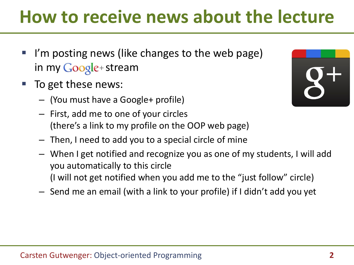# **How to receive news about the lecture**

- I'm posting news (like changes to the web page) in my Google+ stream
- To get these news:
	- (You must have a Google+ profile)
	- First, add me to one of your circles (there's a link to my profile on the OOP web page)
	- Then, I need to add you to a special circle of mine
	- When I get notified and recognize you as one of my students, I will add you automatically to this circle (I will not get notified when you add me to the "just follow" circle)
	- Send me an email (with a link to your profile) if I didn't add you yet

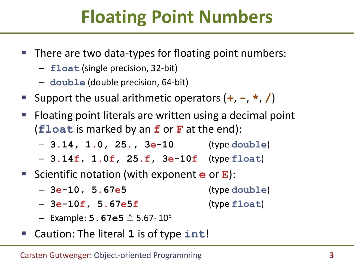# **Floating Point Numbers**

- There are two data-types for floating point numbers:
	- **float** (single precision, 32-bit)
	- **double** (double precision, 64-bit)
- Support the usual arithmetic operators  $(+, -, *, /)$
- **Figure 1** Floating point literals are written using a decimal point (**float** is marked by an **f** or **F** at the end):
	- **3.14, 1.0, 25., 3e-10** (type **double**)
	- **3.14f, 1.0f, 25.f, 3e-10f** (type **float**)
- Scientific notation (with exponent **e** or **E**):
	- **3e-10, 5.67e5** (type **double**)
	- **3e-10f, 5.67e5f** (type **float**)
	- Example: **5.67e5** ≙ 5.67 10<sup>5</sup>
- Caution: The literal **1** is of type **int**!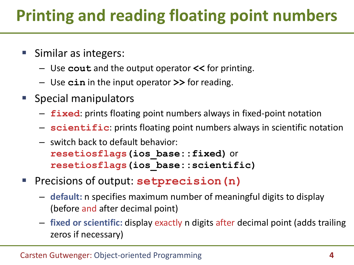### **Printing and reading floating point numbers**

- Similar as integers:
	- Use **cout** and the output operator **<<** for printing.
	- Use **cin** in the input operator **>>** for reading.
- **Special manipulators** 
	- **fixed**: prints floating point numbers always in fixed-point notation
	- **scientific**: prints floating point numbers always in scientific notation
	- switch back to default behavior: **resetiosflags(ios\_base::fixed)** or **resetiosflags(ios\_base::scientific)**
- Precisions of output: **setprecision(n)**
	- **default:** n specifies maximum number of meaningful digits to display (before and after decimal point)
	- **fixed or scientific:** display exactly n digits after decimal point (adds trailing zeros if necessary)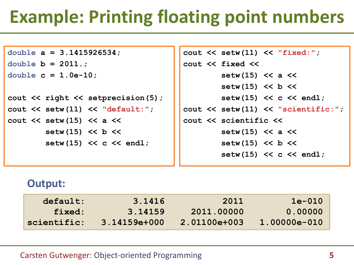# **Example: Printing floating point numbers**

```
double a = 3.1415926534;
double b = 2011.;
double c = 1.0e-10;
cout \ll right \ll setprecision(5);
cout << setw(11) << "default:";
cout << setw(15) << a <<
         setw(15) << b <<
        setw(15) << c << endl;
```

```
cout << setw(11) << "fixed:";
cout << fixed <<
         setw(15) << a <<
         setw(15) << b <<
        setw(15) << c << endl;
cout << setw(11) << "scientific:";
cout << scientific <<
         setw(15) << a <<
         setw(15) << b <<
        setw(15) << c << endl;
```
#### **Output:**

| default:    | 3.1416         | 2011         | $1e-010$       |
|-------------|----------------|--------------|----------------|
| fixed:      | 3.14159        | 2011.00000   | 0.00000        |
| scientific: | $3.14159e+000$ | 2.01100e+003 | $1.00000e-010$ |

#### Carsten Gutwenger: Object-oriented Programming **5**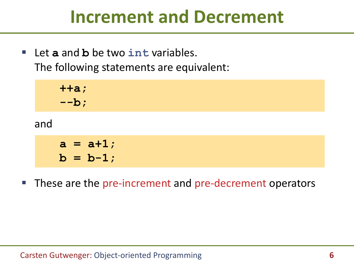#### **Increment and Decrement**

 Let **a** and **b** be two **int** variables. The following statements are equivalent:

and  **++a; --b;**  $a = a + 1;$  $b = b-1;$ 

**These are the pre-increment and pre-decrement operators**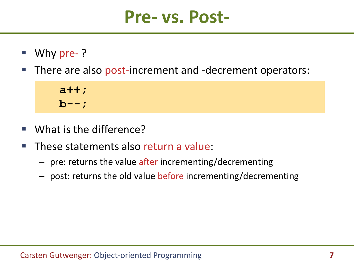#### **Pre- vs. Post-**

- Why pre- ?
- There are also post-increment and -decrement operators:

 **a++; b--;**

- What is the difference?
- These statements also return a value:
	- pre: returns the value after incrementing/decrementing
	- post: returns the old value before incrementing/decrementing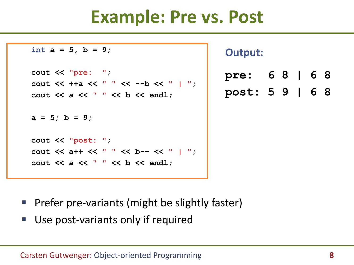### **Example: Pre vs. Post**

```
int a = 5, b = 9;
cout << "pre: ";
cout << ++a << " " << --b << " | ";
cout << a << " " << b << endl;
a = 5; b = 9;
cout << "post: ";
cout << a++ << " " << b-- << " | ";
cout << a << " " << b << endl;
```
**Output:**

| pre:            | 68   68 |  |  |
|-----------------|---------|--|--|
| post: 5 9   6 8 |         |  |  |

- **Prefer pre-variants (might be slightly faster)**
- Use post-variants only if required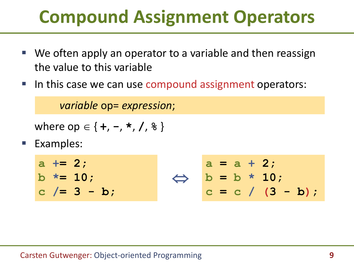# **Compound Assignment Operators**

- We often apply an operator to a variable and then reassign the value to this variable
- In this case we can use compound assignment operators:

*variable* op= *expression*;

where op { **+**, **-**, **\*** , **/**, **%** }

Examples:

**a += 2; b \*= 10; c /= 3 - b; a = a + 2; b = b \* 10;**  $c = c / (3 - b)$ ;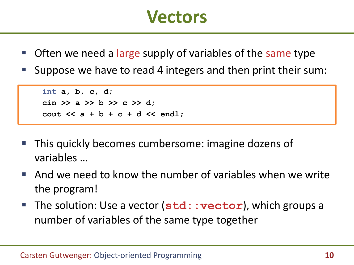#### **Vectors**

- Often we need a large supply of variables of the same type
- Suppose we have to read 4 integers and then print their sum:

```
int a, b, c, d;
cin >> a >> b >> c >> d;
cout << a + b + c + d << endl;
```
- This quickly becomes cumbersome: imagine dozens of variables …
- And we need to know the number of variables when we write the program!
- **The solution: Use a vector (std::vector)**, which groups a number of variables of the same type together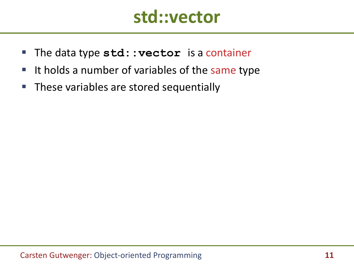#### **std::vector**

- **The data type std:: vector** is a container
- It holds a number of variables of the same type
- **These variables are stored sequentially**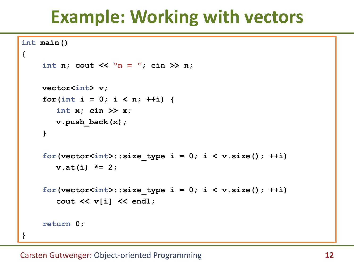## **Example: Working with vectors**

```
int main()
{
     int n; cout \langle \langle \n\cdot \rangle^n = \cdot \cdot \rangle; cin \langle \rangle n;
     vector<int> v;
     for(int i = 0; i < n; ++i) {
         int x; cin >> x;
         v.push_back(x);
     }
     for(vector<int>::size type i = 0; i \le v.size(); ++i)
         v.at(i) *= 2;
     for(vector<int>::size type i = 0; i < v.size(); ++i)
         cout << v[i] << endl;
     return 0;
}
```
#### Carsten Gutwenger: Object-oriented Programming **12**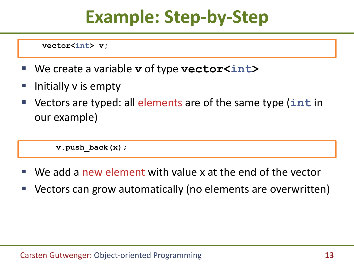**vector<int> v;**

- We create a variable **v** of type **vector<int>**
- Initially v is empty
- Vectors are typed: all elements are of the same type (**int** in our example)

**v.push\_back(x);**

- We add a new element with value x at the end of the vector
- Vectors can grow automatically (no elements are overwritten)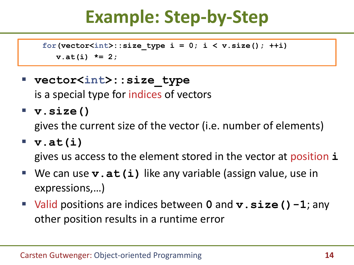```
for(vector<int>::size type i = 0; i \le v.size(); ++i)
  v.at(i) *= 2;
```
- **vector<int>::size\_type** is a special type for indices of vectors
- **v.size()**

gives the current size of the vector (i.e. number of elements)

**v.at(i)**

gives us access to the element stored in the vector at position **i**

- We can use **v.at(i)** like any variable (assign value, use in expressions,…)
- Valid positions are indices between **0** and **v**. size () -1; any other position results in a runtime error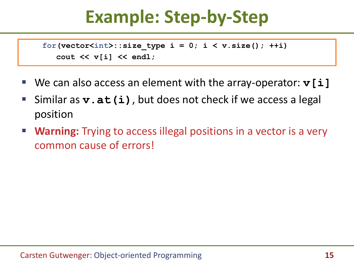```
for(vector<int>::size type i = 0; i \le v.size(); ++i)
  cout << v[i] << endl;
```
- We can also access an element with the array-operator: **v**[i]
- Similar as **v.at(i)**, but does not check if we access a legal position
- **Warning:** Trying to access illegal positions in a vector is a very common cause of errors!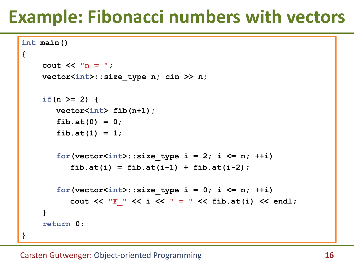# **Example: Fibonacci numbers with vectors**

```
int main()
{
    cout << "n = ";
    vector<int>::size_type n; cin >> n;
    if(n > = 2)vector<int> fib(n+1);
       fib.at(0) = 0;
       fib.at(1) = 1;
       for(vector<int>::size type i = 2; i \le n; ++i)fib.at(i) = fib.at(i-1) + fib.at(i-2);
       for(vector<int>::size type i = 0; i \le n; ++i)
          cout << "F_" << i << " = " << fib.at(i) << endl;
    }
    return 0;
}
```
#### Carsten Gutwenger: Object-oriented Programming **16**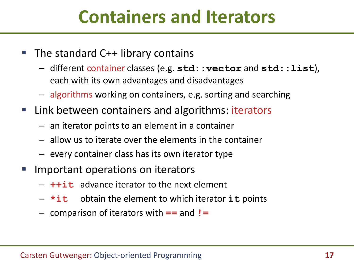## **Containers and Iterators**

- $\blacksquare$  The standard C++ library contains
	- different container classes (e.g. **std::vector** and **std::list**), each with its own advantages and disadvantages
	- algorithms working on containers, e.g. sorting and searching
- Link between containers and algorithms: iterators
	- an iterator points to an element in a container
	- allow us to iterate over the elements in the container
	- every container class has its own iterator type
- Important operations on iterators
	- **++it** advance iterator to the next element
	- **\*it** obtain the element to which iterator **it** points
	- comparison of iterators with **==** and **!=**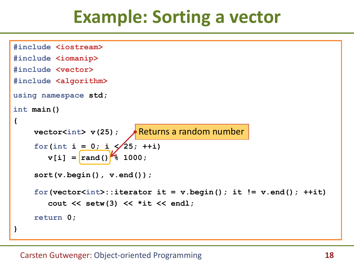### **Example: Sorting a vector**

```
#include <iostream>
#include <iomanip>
#include <vector>
#include <algorithm>
using namespace std;
int main()
{
    vector<int> v(25);
Returns a random numberfor(int i = 0; i \leq 25; +iv[i] = \text{rand}() \frac{1000}{3}sort(v.begin(), v.end());
    for(vector<int>::iterator it = v.begin(); it != v.end(); ++it)
       cout << setw(3) << *it << endl;
    return 0;
}
```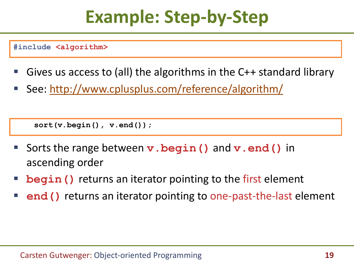**#include <algorithm>**

- Gives us access to (all) the algorithms in the C++ standard library
- See: <http://www.cplusplus.com/reference/algorithm/>

**sort(v.begin(), v.end());**

- Sorts the range between **v.begin()** and **v.end()** in ascending order
- **begin()** returns an iterator pointing to the first element
- **end()** returns an iterator pointing to one-past-the-last element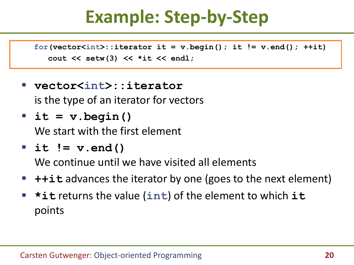for(vector<int>::iterator it = v.begin(); it != v.end();  $++it$ ) **cout << setw(3) << \*it << endl;**

- **vector<int>::iterator** is the type of an iterator for vectors
- **it = v.begin()**

We start with the first element

**it != v.end()**

We continue until we have visited all elements

- **++it** advances the iterator by one (goes to the next element)
- **\*it** returns the value (**int**) of the element to which **it** points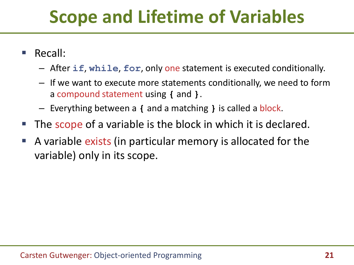# **Scope and Lifetime of Variables**

- Recall:
	- After **if**, **while**, **for**, only one statement is executed conditionally.
	- If we want to execute more statements conditionally, we need to form a compound statement using **{** and **}**.
	- Everything between a **{** and a matching **}** is called a block.
- The scope of a variable is the block in which it is declared.
- A variable exists (in particular memory is allocated for the variable) only in its scope.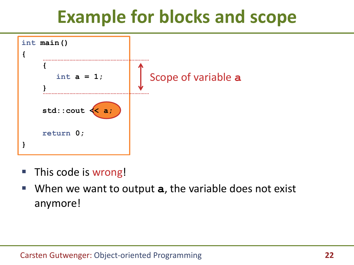# **Example for blocks and scope**



- **This code is wrong!**
- When we want to output **a**, the variable does not exist anymore!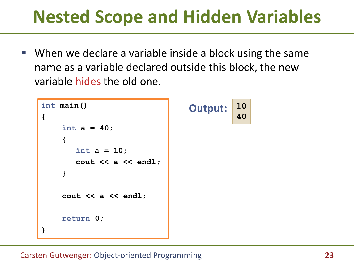## **Nested Scope and Hidden Variables**

 When we declare a variable inside a block using the same name as a variable declared outside this block, the new variable hides the old one.

**10**

**40**

```
int main()
{
    int a = 40;
    {
       int a = 10;
       cout << a << endl;
    }
    cout << a << endl;
    return 0;
}
                                  Output:
```
#### Carsten Gutwenger: Object-oriented Programming **23**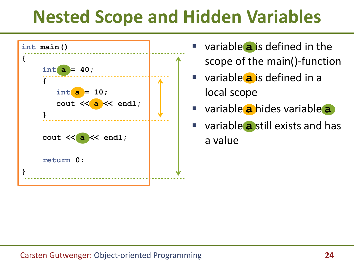# **Nested Scope and Hidden Variables**



- variable **a** is defined in the scope of the main()-function
- variable **a** is defined in a local scope
- variable **a** hides variable **a**
- variable **a** still exists and has a value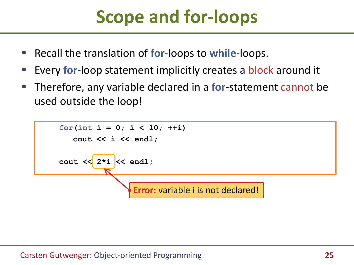# **Scope and for-loops**

- Recall the translation of **for**-loops to **while**-loops.
- Every **for**-loop statement implicitly creates a block around it
- Therefore, any variable declared in a **for**-statement cannot be used outside the loop!

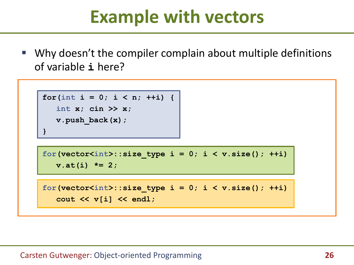## **Example with vectors**

 Why doesn't the compiler complain about multiple definitions of variable **i** here?

```
for(int i = 0; i < n; ++i) {
   int x; cin >> x;
  v.push_back(x);
}
```

```
for(vector<int>::size type i = 0; i \le v.size(); ++i)
  v.at(i) *= 2;
```

```
for(vector<int>::size type i = 0; i < v.size(); ++i)
  cout << v[i] << endl;
```